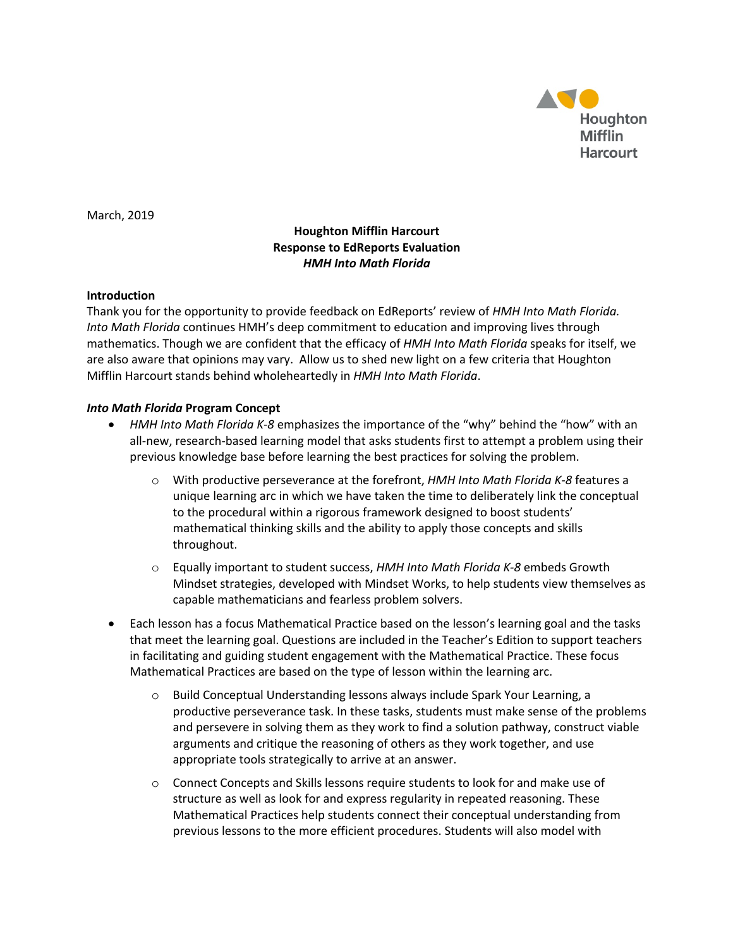

March, 2019

## **Houghton Mifflin Harcourt Response to EdReports Evaluation** *HMH Into Math Florida*

## **Introduction**

Thank you for the opportunity to provide feedback on EdReports' review of *HMH Into Math Florida. Into Math Florida* continues HMH's deep commitment to education and improving lives through mathematics. Though we are confident that the efficacy of *HMH Into Math Florida* speaks for itself, we are also aware that opinions may vary. Allow us to shed new light on a few criteria that Houghton Mifflin Harcourt stands behind wholeheartedly in *HMH Into Math Florida*.

## *Into Math Florida* **Program Concept**

- *HMH Into Math Florida K-8* emphasizes the importance of the "why" behind the "how" with an all-new, research-based learning model that asks students first to attempt a problem using their previous knowledge base before learning the best practices for solving the problem.
	- o With productive perseverance at the forefront, *HMH Into Math Florida K-8* features a unique learning arc in which we have taken the time to deliberately link the conceptual to the procedural within a rigorous framework designed to boost students' mathematical thinking skills and the ability to apply those concepts and skills throughout.
	- o Equally important to student success, *HMH Into Math Florida K-8* embeds Growth Mindset strategies, developed with Mindset Works, to help students view themselves as capable mathematicians and fearless problem solvers.
- Each lesson has a focus Mathematical Practice based on the lesson's learning goal and the tasks that meet the learning goal. Questions are included in the Teacher's Edition to support teachers in facilitating and guiding student engagement with the Mathematical Practice. These focus Mathematical Practices are based on the type of lesson within the learning arc.
	- o Build Conceptual Understanding lessons always include Spark Your Learning, a productive perseverance task. In these tasks, students must make sense of the problems and persevere in solving them as they work to find a solution pathway, construct viable arguments and critique the reasoning of others as they work together, and use appropriate tools strategically to arrive at an answer.
	- o Connect Concepts and Skills lessons require students to look for and make use of structure as well as look for and express regularity in repeated reasoning. These Mathematical Practices help students connect their conceptual understanding from previous lessons to the more efficient procedures. Students will also model with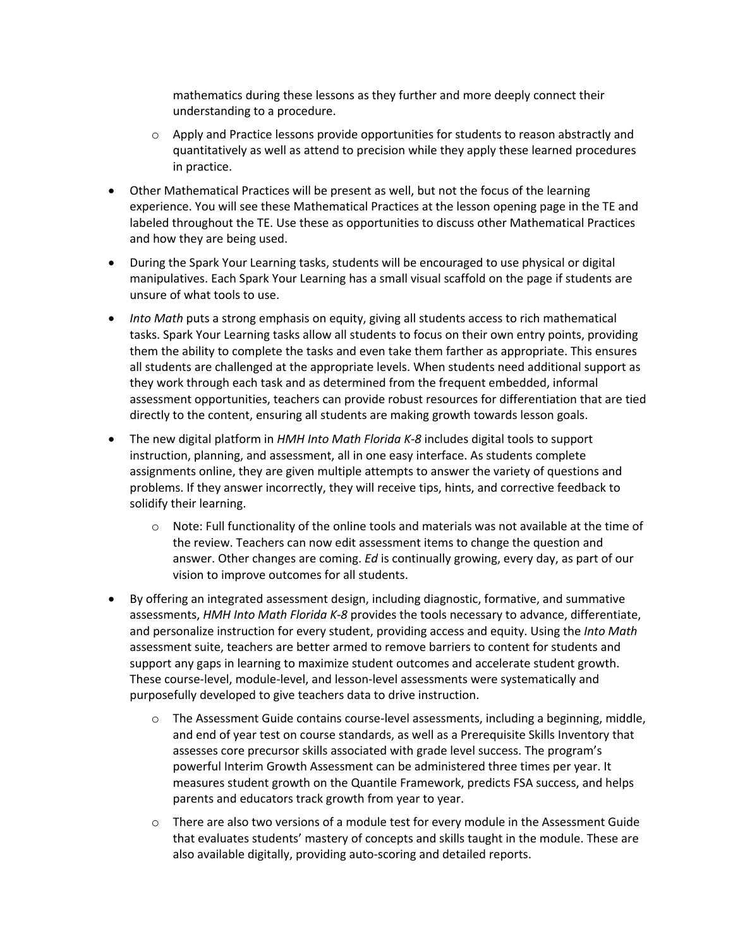mathematics during these lessons as they further and more deeply connect their understanding to a procedure.

- $\circ$  Apply and Practice lessons provide opportunities for students to reason abstractly and quantitatively as well as attend to precision while they apply these learned procedures in practice.
- Other Mathematical Practices will be present as well, but not the focus of the learning experience. You will see these Mathematical Practices at the lesson opening page in the TE and labeled throughout the TE. Use these as opportunities to discuss other Mathematical Practices and how they are being used.
- During the Spark Your Learning tasks, students will be encouraged to use physical or digital manipulatives. Each Spark Your Learning has a small visual scaffold on the page if students are unsure of what tools to use.
- *Into Math* puts a strong emphasis on equity, giving all students access to rich mathematical tasks. Spark Your Learning tasks allow all students to focus on their own entry points, providing them the ability to complete the tasks and even take them farther as appropriate. This ensures all students are challenged at the appropriate levels. When students need additional support as they work through each task and as determined from the frequent embedded, informal assessment opportunities, teachers can provide robust resources for differentiation that are tied directly to the content, ensuring all students are making growth towards lesson goals.
- The new digital platform in *HMH Into Math Florida K-8* includes digital tools to support instruction, planning, and assessment, all in one easy interface. As students complete assignments online, they are given multiple attempts to answer the variety of questions and problems. If they answer incorrectly, they will receive tips, hints, and corrective feedback to solidify their learning.
	- $\circ$  Note: Full functionality of the online tools and materials was not available at the time of the review. Teachers can now edit assessment items to change the question and answer. Other changes are coming. *Ed* is continually growing, every day, as part of our vision to improve outcomes for all students.
- By offering an integrated assessment design, including diagnostic, formative, and summative assessments, *HMH Into Math Florida K-8* provides the tools necessary to advance, differentiate, and personalize instruction for every student, providing access and equity. Using the *Into Math* assessment suite, teachers are better armed to remove barriers to content for students and support any gaps in learning to maximize student outcomes and accelerate student growth. These course-level, module-level, and lesson-level assessments were systematically and purposefully developed to give teachers data to drive instruction.
	- $\circ$  The Assessment Guide contains course-level assessments, including a beginning, middle, and end of year test on course standards, as well as a Prerequisite Skills Inventory that assesses core precursor skills associated with grade level success. The program's powerful Interim Growth Assessment can be administered three times per year. It measures student growth on the Quantile Framework, predicts FSA success, and helps parents and educators track growth from year to year.
	- o There are also two versions of a module test for every module in the Assessment Guide that evaluates students' mastery of concepts and skills taught in the module. These are also available digitally, providing auto-scoring and detailed reports.